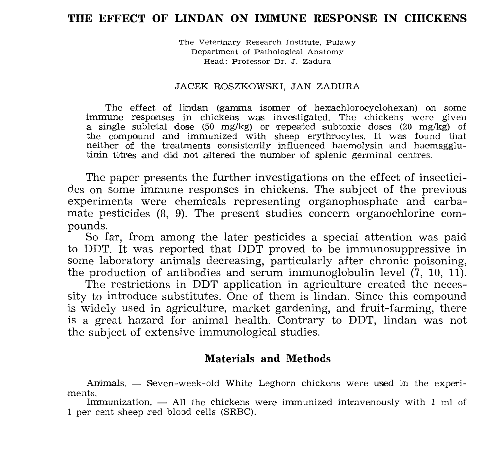# THE EFFECT OF LINDAN ON IMMUNE RESPONSE IN CHICKENS

The Veterinary Research Institute, Puławy Department of Pathological Anatomy Head: Professor Dr. J. Zadura

#### JACEK ROSZKOWSKI, JAN ZADURA

The effect of lindan (gamma isomer of hexachlorocyclohexan) on some immune responses in chickens was investigated. The chickens were given a single subletal dose  $(50 \text{ mg/kg})$  or repeated subtoxic doses  $(20 \text{ mg/kg})$  of the compound and immunized with sheep erythrocytes. It was found that neither of the treatments consistently influenced haemolysin and haemagglutinin titres and did not altered the number of splenic germinal centres.

The paper presents the further investigations on the effect of insecticides on some immune responses in chickens. The subject of the previous experiments were chemicals representing organophosphate and carbamate pesticides (8, 9). The present studies concern organochlorine compounds.

So far, from among the later pesticides a special attention was paid to DDT. It was reported that DDT proved to be immunosuppressive in some laboratory animals decreasing, particularly after chronic poisoning, the production of antibodies and serum immunoglobulin level  $(7, 10, 11)$ .

The restrictions in DDT application in agriculture created the necessity to introduce substitutes. One of them is lindan. Since this compound is widely used in agriculture, market gardening, and fruit-farming, there is a great hazard for animal health. Contrary to DDT, lindan was not the subject of extensive immunological studies.

## **Materials and Methods**

Animals. — Seven-week-old White Leghorn chickens were used in the experiments.

Immunization. - All the chickens were immunized intravenously with 1 ml of 1 per cent sheep red blood cells (SRBC).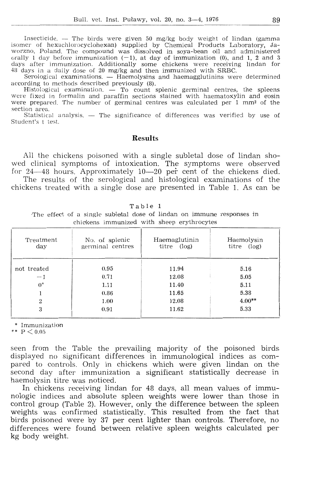Insecticide. — The birds were given 50 mg/kg body weight of lindan (gamma<br>isomer of hexachlorocyclohexan) supplied by Chemical Products Laboratory, Ja-<br>worzno, Poland. The compound was dissolved in soya-bean oil and admin

Serological examinations. - Haemolysins and haemagglutinins were determined according to methods described previously (8).

Histological examination.  $\stackrel{\sim}{-}$  To count splenic germinal centres, the spleens were fixed in formalin and paraffin sections stained with haematoxylin and eosin were prepared. The number of germinal centres was calculated per 1 mm<sup>2</sup> of the section area.

Statistical analysis. - The significance of differences was verified by use of Student's t test.

### **Results**

All the chickens poisoned with a single subletal dose of lindan showed clinical symptoms of intoxication. The symptoms were observed for 24–48 hours. Approximately 10–20 per cent of the chickens died.

The results of the serological and histological examinations of the chickens treated with a single dose are presented in Table 1. As can be

| Table |  |  |  |
|-------|--|--|--|
|-------|--|--|--|

The effect of a single subjetal dose of lindan on immune responses in chickens immunized with sheep erythrocytes

| Treatment<br>day | No. of splenic<br>germinal centres | Haemaglutinin<br>titre (log) | Haemolysin<br>(log)<br>titre |  |
|------------------|------------------------------------|------------------------------|------------------------------|--|
| not treated      | 0.95                               | 11.94                        | 5.16                         |  |
| $-1$             | 0.71                               | 12.08                        | 5.05                         |  |
| $0^*$            | 1.11                               | 11.40                        | 5.11                         |  |
|                  | 0.86                               | 11.65                        | 5.38                         |  |
| $\overline{2}$   | 1.00                               | 12.08                        | $4.00**$                     |  |
| 3                | 0.91                               | 11.62                        | 5.33                         |  |

\* Immunization

\*\*  $P < 0.05$ 

seen from the Table the prevailing majority of the poisoned birds displayed no significant differences in immunological indices as compared to controls. Only in chickens which were given lindan on the second day after immunization a significant statistically decrease in haemolysin titre was noticed.

In chickens receiving lindan for 48 days, all mean values of immunologic indices and absolute spleen weights were lower than those in control group (Table 2). However, only the difference between the spleen weights was confirmed statistically. This resulted from the fact that birds poisoned were by 37 per cent lighter than controls. Therefore, no differences were found between relative spleen weights calculated per kg body weight.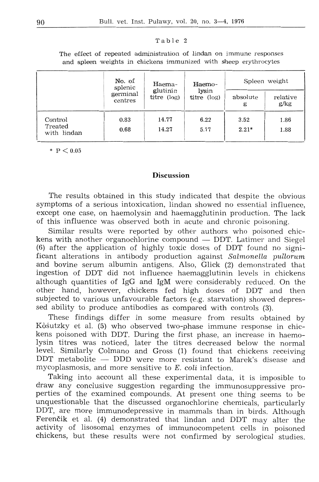### Table 2

The effect of repeated administration of lindan on immune responses and spleen weights in chickens immunized with sheep erythrocytes

|                                   | No. of<br>splenic<br>germinal<br>centres | Haema-<br>glutinin<br>titre (log) | Haemo-<br>lysin<br>titre $(\log)$ | Spleen weight   |                  |
|-----------------------------------|------------------------------------------|-----------------------------------|-----------------------------------|-----------------|------------------|
|                                   |                                          |                                   |                                   | absolute<br>g   | relative<br>g/kg |
| Comtrol<br>Treated<br>with lindan | 0.83<br>0.68                             | 14.77<br>14.27                    | 6.22<br>5.77                      | 3.52<br>$2.21*$ | 1.86<br>1.88     |

 $*$  P  $< 0.05$ 

### **Discussion**

The results obtained in this study indicated that despite the obvious symptoms of a serious intoxication, lindan showed no essential influence. except one case, on haemolysin and haemagglutinin production. The lack of this influence was observed both in acute and chronic poisoning.

Similar results were reported by other authors who poisoned chickens with another organochlorine compound  $-$  DDT. Latimer and Siegel (6) after the application of highly toxic doses of DDT found no significant alterations in antibody production against *Salmonella pullorum*  and bovine serum albumin antigens. Also, Glick (2) demonstrated that ingestion of DDT did not influence haemagglutinin levels in chickens although quantities of IgG and IgM were considerably reduced. On the other hand, however, chickens fed high doses of DDT and then subjected to various unfavourable factors (e.g. starvation) showed depressed ability to produce antibodies as compared with controls (3).

These findings differ in some measure from results obtained by Kośutzky et al. (5) who observed two-phase immune response in chickens poisoned with DDT. During the first phase, an increase in haemolysin titres was noticed, later the titres decreased below the normal level. Similarly Colmano and Gross (1) found that chickens receiving DDT metabolite - DDD were more resistant to Marek's disease and mycoplasmosis, and more sensitive to *E. coli* infection.

Taking into account all these experimental data, it is imposible to  $d$ raw any conclusive suggestion regarding the immunosuppressive properties of the examined compounds. At present one thing seems to be unquestionable that the discussed organochlorine chemicals, particularly DDT, are more immunodepressive in mammals than in birds. Although Ferencik et al. (4) demonstrated that lindan and DDT may alter the activity of lisosomal enzymes of immunocompetent cells in poisoned chickens, but these results were not confirmed by serological studies.